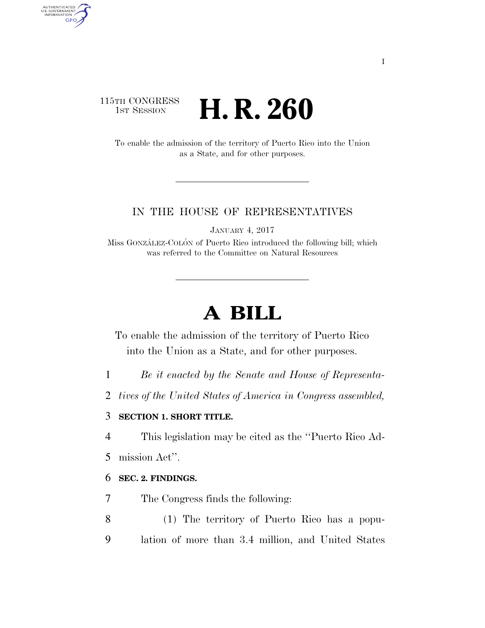## 115TH CONGRESS **1st Session H. R. 260**

AUTHENTICATED<br>U.S. GOVERNMENT<br>INFORMATION

**GPO** 

To enable the admission of the territory of Puerto Rico into the Union as a State, and for other purposes.

#### IN THE HOUSE OF REPRESENTATIVES

JANUARY 4, 2017

Miss GONZÁLEZ-COLÓN of Puerto Rico introduced the following bill; which was referred to the Committee on Natural Resources

# **A BILL**

To enable the admission of the territory of Puerto Rico into the Union as a State, and for other purposes.

- 1 *Be it enacted by the Senate and House of Representa-*
- 2 *tives of the United States of America in Congress assembled,*

#### 3 **SECTION 1. SHORT TITLE.**

4 This legislation may be cited as the ''Puerto Rico Ad-

5 mission Act''.

#### 6 **SEC. 2. FINDINGS.**

- 7 The Congress finds the following:
- 8 (1) The territory of Puerto Rico has a popu-9 lation of more than 3.4 million, and United States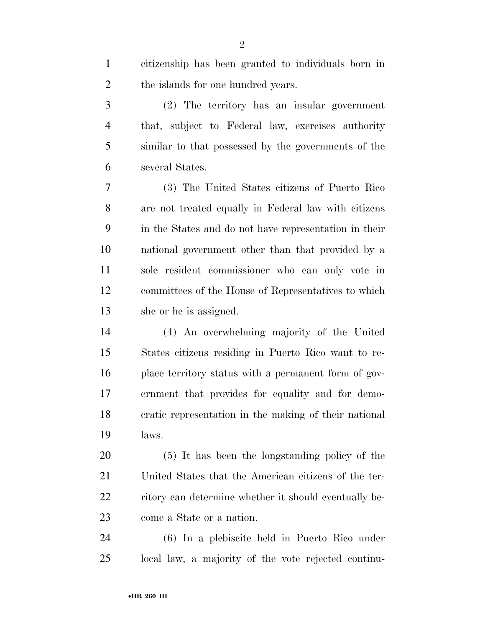| $\mathbf{1}$   | citizenship has been granted to individuals born in   |
|----------------|-------------------------------------------------------|
| $\overline{2}$ | the islands for one hundred years.                    |
| 3              | (2) The territory has an insular government           |
| $\overline{4}$ | that, subject to Federal law, exercises authority     |
| 5              | similar to that possessed by the governments of the   |
| 6              | several States.                                       |
| 7              | (3) The United States citizens of Puerto Rico         |
| 8              | are not treated equally in Federal law with citizens  |
| 9              | in the States and do not have representation in their |
| 10             | national government other than that provided by a     |
| 11             | sole resident commissioner who can only vote in       |
| 12             | committees of the House of Representatives to which   |
| 13             | she or he is assigned.                                |
| 14             | (4) An overwhelming majority of the United            |
| 15             | States citizens residing in Puerto Rico want to re-   |
| 16             | place territory status with a permanent form of gov-  |
| 17             | ernment that provides for equality and for demo-      |
| 18             | cratic representation in the making of their national |
| 19             | laws.                                                 |
| 20             | (5) It has been the longstanding policy of the        |
| 21             | United States that the American citizens of the ter-  |
| 22             | ritory can determine whether it should eventually be- |
| 23             | come a State or a nation.                             |
| 24             | (6) In a plebiscite held in Puerto Rico under         |
| 25             | local law, a majority of the vote rejected continu-   |
|                |                                                       |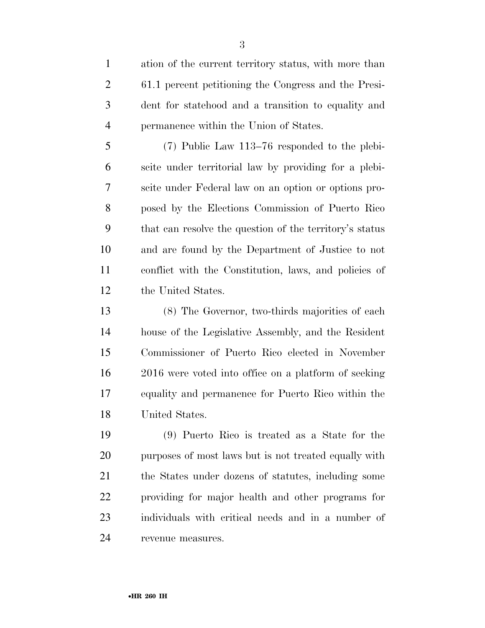ation of the current territory status, with more than 61.1 percent petitioning the Congress and the Presi- dent for statehood and a transition to equality and permanence within the Union of States.

 (7) Public Law 113–76 responded to the plebi- scite under territorial law by providing for a plebi- scite under Federal law on an option or options pro- posed by the Elections Commission of Puerto Rico that can resolve the question of the territory's status and are found by the Department of Justice to not conflict with the Constitution, laws, and policies of the United States.

 (8) The Governor, two-thirds majorities of each house of the Legislative Assembly, and the Resident Commissioner of Puerto Rico elected in November 2016 were voted into office on a platform of seeking equality and permanence for Puerto Rico within the United States.

 (9) Puerto Rico is treated as a State for the purposes of most laws but is not treated equally with the States under dozens of statutes, including some providing for major health and other programs for individuals with critical needs and in a number of revenue measures.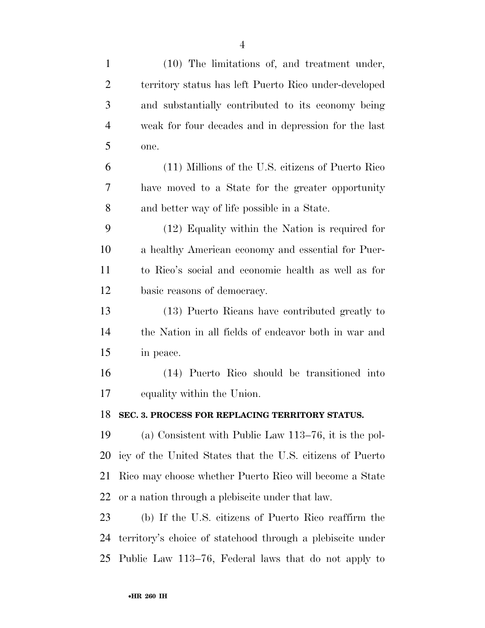| $\mathbf{1}$   | (10) The limitations of, and treatment under,              |
|----------------|------------------------------------------------------------|
| $\overline{c}$ | territory status has left Puerto Rico under-developed      |
| 3              | and substantially contributed to its economy being         |
| $\overline{4}$ | weak for four decades and in depression for the last       |
| 5              | one.                                                       |
| 6              | (11) Millions of the U.S. citizens of Puerto Rico          |
| 7              | have moved to a State for the greater opportunity          |
| 8              | and better way of life possible in a State.                |
| 9              | (12) Equality within the Nation is required for            |
| 10             | a healthy American economy and essential for Puer-         |
| 11             | to Rico's social and economic health as well as for        |
| 12             | basic reasons of democracy.                                |
| 13             | (13) Puerto Ricans have contributed greatly to             |
| 14             | the Nation in all fields of endeavor both in war and       |
| 15             | in peace.                                                  |
| 16             | (14) Puerto Rico should be transitioned into               |
| 17             | equality within the Union.                                 |
| 18             | SEC. 3. PROCESS FOR REPLACING TERRITORY STATUS.            |
| 19             | (a) Consistent with Public Law $113-76$ , it is the pol-   |
| 20             | icy of the United States that the U.S. citizens of Puerto  |
| 21             | Rico may choose whether Puerto Rico will become a State    |
| 22             | or a nation through a plebiscite under that law.           |
| 23             | (b) If the U.S. citizens of Puerto Rico reaffirm the       |
| 24             | territory's choice of statehood through a plebiscite under |
| 25             | Public Law 113–76, Federal laws that do not apply to       |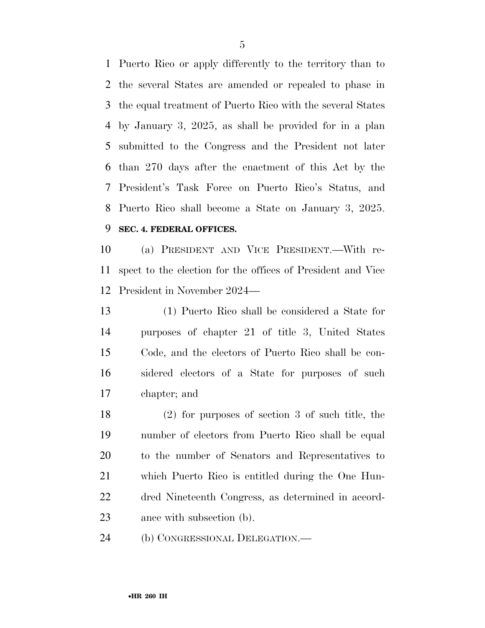Puerto Rico or apply differently to the territory than to the several States are amended or repealed to phase in the equal treatment of Puerto Rico with the several States by January 3, 2025, as shall be provided for in a plan submitted to the Congress and the President not later than 270 days after the enactment of this Act by the President's Task Force on Puerto Rico's Status, and Puerto Rico shall become a State on January 3, 2025. **SEC. 4. FEDERAL OFFICES.** 

 (a) PRESIDENT AND VICE PRESIDENT.—With re- spect to the election for the offices of President and Vice President in November 2024—

 (1) Puerto Rico shall be considered a State for purposes of chapter 21 of title 3, United States Code, and the electors of Puerto Rico shall be con- sidered electors of a State for purposes of such chapter; and

 (2) for purposes of section 3 of such title, the number of electors from Puerto Rico shall be equal to the number of Senators and Representatives to which Puerto Rico is entitled during the One Hun- dred Nineteenth Congress, as determined in accord-ance with subsection (b).

(b) CONGRESSIONAL DELEGATION.—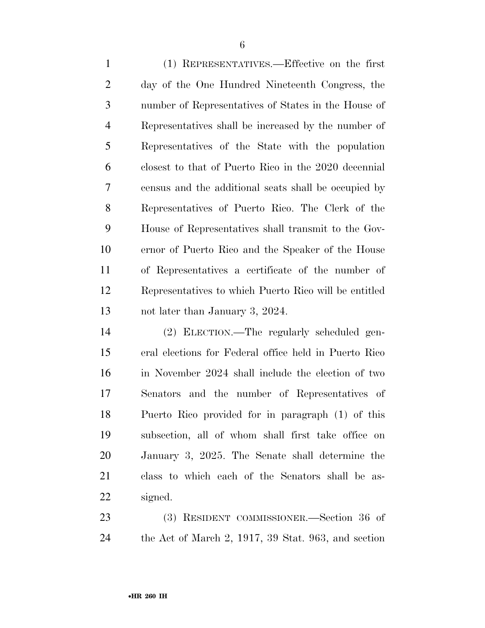(1) REPRESENTATIVES.—Effective on the first day of the One Hundred Nineteenth Congress, the number of Representatives of States in the House of Representatives shall be increased by the number of Representatives of the State with the population closest to that of Puerto Rico in the 2020 decennial census and the additional seats shall be occupied by Representatives of Puerto Rico. The Clerk of the House of Representatives shall transmit to the Gov- ernor of Puerto Rico and the Speaker of the House of Representatives a certificate of the number of Representatives to which Puerto Rico will be entitled not later than January 3, 2024.

 (2) ELECTION.—The regularly scheduled gen- eral elections for Federal office held in Puerto Rico in November 2024 shall include the election of two Senators and the number of Representatives of Puerto Rico provided for in paragraph (1) of this subsection, all of whom shall first take office on January 3, 2025. The Senate shall determine the class to which each of the Senators shall be as-signed.

 (3) RESIDENT COMMISSIONER.—Section 36 of the Act of March 2, 1917, 39 Stat. 963, and section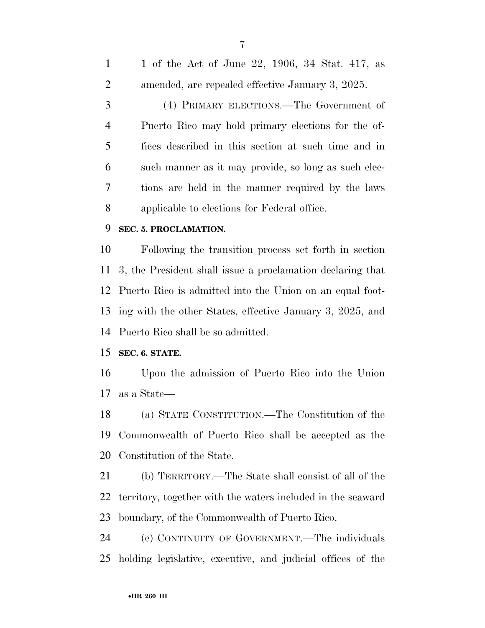1 of the Act of June 22, 1906, 34 Stat. 417, as amended, are repealed effective January 3, 2025. (4) PRIMARY ELECTIONS.—The Government of Puerto Rico may hold primary elections for the of- fices described in this section at such time and in such manner as it may provide, so long as such elec- tions are held in the manner required by the laws applicable to elections for Federal office.

#### **SEC. 5. PROCLAMATION.**

 Following the transition process set forth in section 3, the President shall issue a proclamation declaring that Puerto Rico is admitted into the Union on an equal foot- ing with the other States, effective January 3, 2025, and Puerto Rico shall be so admitted.

### **SEC. 6. STATE.**

 Upon the admission of Puerto Rico into the Union as a State—

 (a) STATE CONSTITUTION.—The Constitution of the Commonwealth of Puerto Rico shall be accepted as the Constitution of the State.

 (b) TERRITORY.—The State shall consist of all of the territory, together with the waters included in the seaward boundary, of the Commonwealth of Puerto Rico.

 (c) CONTINUITY OF GOVERNMENT.—The individuals holding legislative, executive, and judicial offices of the